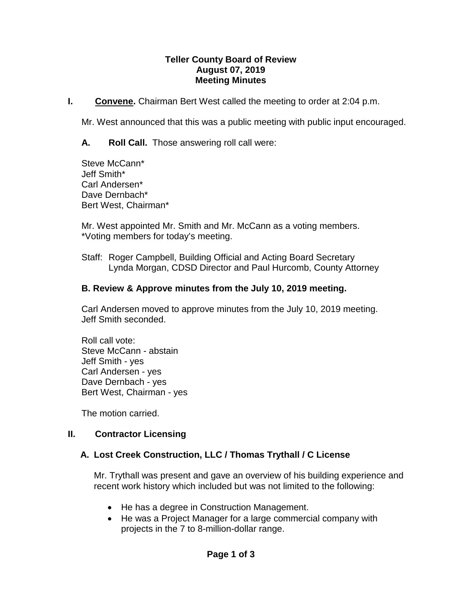#### **Teller County Board of Review August 07, 2019 Meeting Minutes**

**I. Convene.** Chairman Bert West called the meeting to order at 2:04 p.m.

Mr. West announced that this was a public meeting with public input encouraged.

**A. Roll Call.** Those answering roll call were:

Steve McCann\* Jeff Smith\* Carl Andersen\* Dave Dernbach\* Bert West, Chairman\*

Mr. West appointed Mr. Smith and Mr. McCann as a voting members. \*Voting members for today's meeting.

Staff: Roger Campbell, Building Official and Acting Board Secretary Lynda Morgan, CDSD Director and Paul Hurcomb, County Attorney

#### **B. Review & Approve minutes from the July 10, 2019 meeting.**

Carl Andersen moved to approve minutes from the July 10, 2019 meeting. Jeff Smith seconded.

Roll call vote: Steve McCann - abstain Jeff Smith - yes Carl Andersen - yes Dave Dernbach - yes Bert West, Chairman - yes

The motion carried.

## **II. Contractor Licensing**

## **A. Lost Creek Construction, LLC / Thomas Trythall / C License**

Mr. Trythall was present and gave an overview of his building experience and recent work history which included but was not limited to the following:

- He has a degree in Construction Management.
- He was a Project Manager for a large commercial company with projects in the 7 to 8-million-dollar range.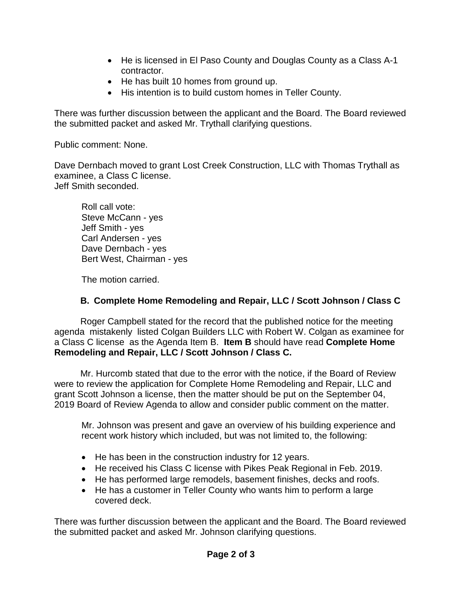- He is licensed in El Paso County and Douglas County as a Class A-1 contractor.
- He has built 10 homes from ground up.
- His intention is to build custom homes in Teller County.

There was further discussion between the applicant and the Board. The Board reviewed the submitted packet and asked Mr. Trythall clarifying questions.

Public comment: None.

Dave Dernbach moved to grant Lost Creek Construction, LLC with Thomas Trythall as examinee, a Class C license. Jeff Smith seconded.

Roll call vote: Steve McCann - yes Jeff Smith - yes Carl Andersen - yes Dave Dernbach - yes Bert West, Chairman - yes

The motion carried.

# **B. Complete Home Remodeling and Repair, LLC / Scott Johnson / Class C**

Roger Campbell stated for the record that the published notice for the meeting agenda mistakenly listed Colgan Builders LLC with Robert W. Colgan as examinee for a Class C license as the Agenda Item B. **Item B** should have read **Complete Home Remodeling and Repair, LLC / Scott Johnson / Class C.** 

Mr. Hurcomb stated that due to the error with the notice, if the Board of Review were to review the application for Complete Home Remodeling and Repair, LLC and grant Scott Johnson a license, then the matter should be put on the September 04, 2019 Board of Review Agenda to allow and consider public comment on the matter.

Mr. Johnson was present and gave an overview of his building experience and recent work history which included, but was not limited to, the following:

- He has been in the construction industry for 12 years.
- He received his Class C license with Pikes Peak Regional in Feb. 2019.
- He has performed large remodels, basement finishes, decks and roofs.
- He has a customer in Teller County who wants him to perform a large covered deck.

There was further discussion between the applicant and the Board. The Board reviewed the submitted packet and asked Mr. Johnson clarifying questions.